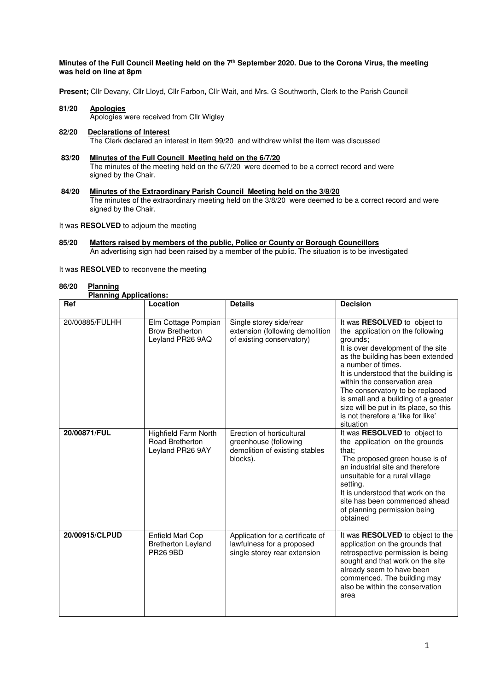### **Minutes of the Full Council Meeting held on the 7th September 2020. Due to the Corona Virus, the meeting was held on line at 8pm**

**Present;** Cllr Devany, Cllr Lloyd, Cllr Farbon**,** Cllr Wait, and Mrs. G Southworth, Clerk to the Parish Council

**81/20 Apologies** Apologies were received from Cllr Wigley **82/20 Declarations of Interest**

The Clerk declared an interest in Item 99/20 and withdrew whilst the item was discussed

 **83/20 Minutes of the Full Council Meeting held on the 6/7/20**

 The minutes of the meeting held on the 6/7/20 were deemed to be a correct record and were signed by the Chair.

 **84/20 Minutes of the Extraordinary Parish Council Meeting held on the 3/8/20** The minutes of the extraordinary meeting held on the 3/8/20 were deemed to be a correct record and were signed by the Chair.

It was **RESOLVED** to adjourn the meeting

- **85/20 Matters raised by members of the public, Police or County or Borough Councillors**  An advertising sign had been raised by a member of the public. The situation is to be investigated
- It was **RESOLVED** to reconvene the meeting

### **86/20 Planning**

 **Planning Applications:** 

| Ref            | Location                                                                  | <b>Details</b>                                                                                   | <b>Decision</b>                                                                                                                                                                                                                                                                                                                                                                                                                |
|----------------|---------------------------------------------------------------------------|--------------------------------------------------------------------------------------------------|--------------------------------------------------------------------------------------------------------------------------------------------------------------------------------------------------------------------------------------------------------------------------------------------------------------------------------------------------------------------------------------------------------------------------------|
| 20/00885/FULHH | Elm Cottage Pompian<br><b>Brow Bretherton</b><br>Leyland PR26 9AQ         | Single storey side/rear<br>extension (following demolition<br>of existing conservatory)          | It was RESOLVED to object to<br>the application on the following<br>grounds;<br>It is over development of the site<br>as the building has been extended<br>a number of times.<br>It is understood that the building is<br>within the conservation area<br>The conservatory to be replaced<br>is small and a building of a greater<br>size will be put in its place, so this<br>is not therefore a 'like for like'<br>situation |
| 20/00871/FUL   | <b>Highfield Farm North</b><br><b>Road Bretherton</b><br>Leyland PR26 9AY | Erection of horticultural<br>greenhouse (following<br>demolition of existing stables<br>blocks). | It was RESOLVED to object to<br>the application on the grounds<br>that:<br>The proposed green house is of<br>an industrial site and therefore<br>unsuitable for a rural village<br>setting.<br>It is understood that work on the<br>site has been commenced ahead<br>of planning permission being<br>obtained                                                                                                                  |
| 20/00915/CLPUD | <b>Enfield Marl Cop</b><br><b>Bretherton Leyland</b><br><b>PR26 9BD</b>   | Application for a certificate of<br>lawfulness for a proposed<br>single storey rear extension    | It was <b>RESOLVED</b> to object to the<br>application on the grounds that<br>retrospective permission is being<br>sought and that work on the site<br>already seem to have been<br>commenced. The building may<br>also be within the conservation<br>area                                                                                                                                                                     |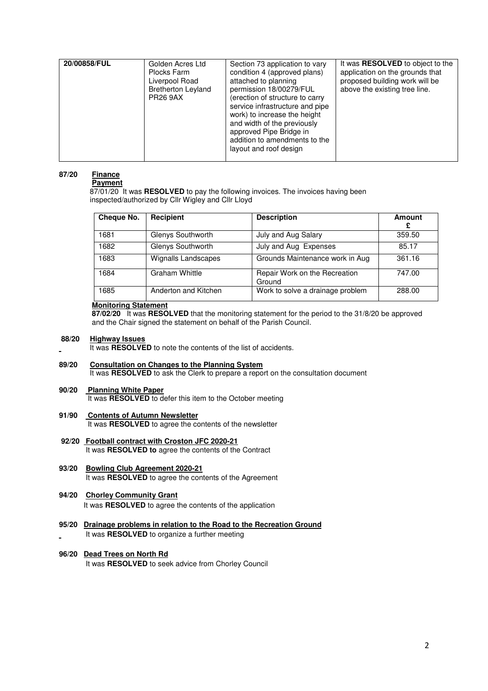| 20/00858/FUL | Golden Acres Ltd<br>Plocks Farm<br>Liverpool Road<br><b>Bretherton Leyland</b><br><b>PR26 9AX</b> | Section 73 application to vary<br>condition 4 (approved plans)<br>attached to planning<br>permission 18/00279/FUL<br>(erection of structure to carry<br>service infrastructure and pipe<br>work) to increase the height<br>and width of the previously<br>approved Pipe Bridge in<br>addition to amendments to the<br>layout and roof design | It was <b>RESOLVED</b> to object to the<br>application on the grounds that<br>proposed building work will be<br>above the existing tree line. |
|--------------|---------------------------------------------------------------------------------------------------|----------------------------------------------------------------------------------------------------------------------------------------------------------------------------------------------------------------------------------------------------------------------------------------------------------------------------------------------|-----------------------------------------------------------------------------------------------------------------------------------------------|

# **87/20 Finance**

 **Payment**  87/01/20 It was **RESOLVED** to pay the following invoices. The invoices having been inspected/authorized by Cllr Wigley and Cllr Lloyd

| Cheque No. | Recipient                  | <b>Description</b>                      | <b>Amount</b><br>£ |
|------------|----------------------------|-----------------------------------------|--------------------|
| 1681       | Glenys Southworth          | July and Aug Salary                     | 359.50             |
| 1682       | Glenys Southworth          | July and Aug Expenses                   | 85.17              |
| 1683       | <b>Wignalls Landscapes</b> | Grounds Maintenance work in Aug         | 361.16             |
| 1684       | Graham Whittle             | Repair Work on the Recreation<br>Ground | 747.00             |
| 1685       | Anderton and Kitchen       | Work to solve a drainage problem        | 288.00             |

### **Monitoring Statement**

 **87/02/20** It was **RESOLVED** that the monitoring statement for the period to the 31/8/20 be approved and the Chair signed the statement on behalf of the Parish Council.

### **88/20 Highway Issues**

It was **RESOLVED** to note the contents of the list of accidents.

# **89/20 Consultation on Changes to the Planning System**

It was **RESOLVED** to ask the Clerk to prepare a report on the consultation document

# **90/20 Planning White Paper**

- It was **RESOLVED** to defer this item to the October meeting
- **91/90 Contents of Autumn Newsletter**  It was **RESOLVED** to agree the contents of the newsletter
- **92/20 Football contract with Croston JFC 2020-21** It was **RESOLVED to** agree the contents of the Contract
- **93/20 Bowling Club Agreement 2020-21**  It was **RESOLVED** to agree the contents of the Agreement
- **94/20 Chorley Community Grant**  It was **RESOLVED** to agree the contents of the application
- **95/20 Drainage problems in relation to the Road to the Recreation Ground** It was **RESOLVED** to organize a further meeting
- **96/20 Dead Trees on North Rd**  It was **RESOLVED** to seek advice from Chorley Council